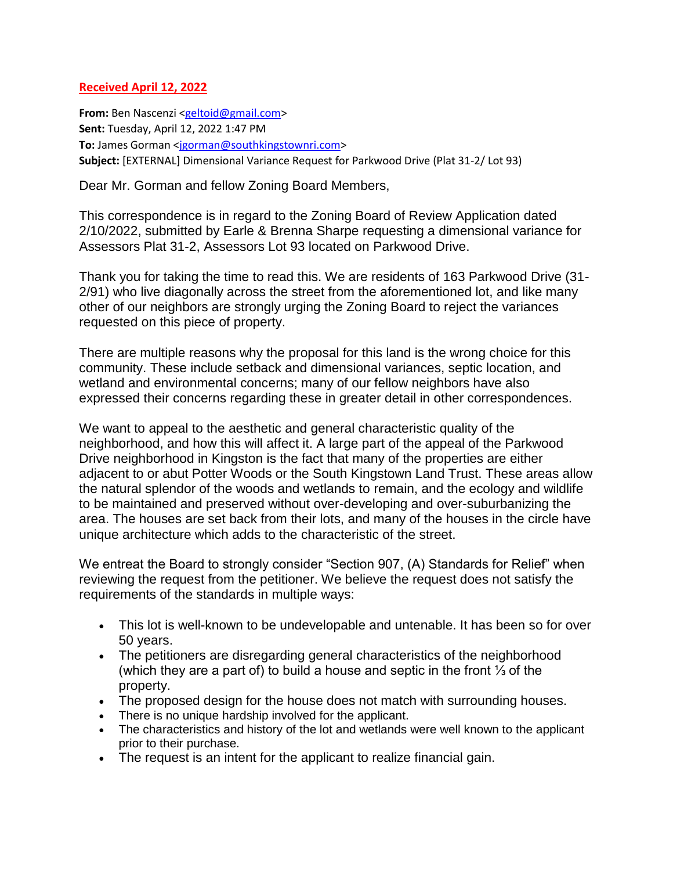## **Received April 12, 2022**

**From:** Ben Nascenzi [<geltoid@gmail.com>](mailto:geltoid@gmail.com) **Sent:** Tuesday, April 12, 2022 1:47 PM To: James Gorman [<jgorman@southkingstownri.com>](mailto:jgorman@southkingstownri.com) **Subject:** [EXTERNAL] Dimensional Variance Request for Parkwood Drive (Plat 31-2/ Lot 93)

Dear Mr. Gorman and fellow Zoning Board Members,

This correspondence is in regard to the Zoning Board of Review Application dated 2/10/2022, submitted by Earle & Brenna Sharpe requesting a dimensional variance for Assessors Plat 31-2, Assessors Lot 93 located on Parkwood Drive.

Thank you for taking the time to read this. We are residents of 163 Parkwood Drive (31- 2/91) who live diagonally across the street from the aforementioned lot, and like many other of our neighbors are strongly urging the Zoning Board to reject the variances requested on this piece of property.

There are multiple reasons why the proposal for this land is the wrong choice for this community. These include setback and dimensional variances, septic location, and wetland and environmental concerns; many of our fellow neighbors have also expressed their concerns regarding these in greater detail in other correspondences.

We want to appeal to the aesthetic and general characteristic quality of the neighborhood, and how this will affect it. A large part of the appeal of the Parkwood Drive neighborhood in Kingston is the fact that many of the properties are either adjacent to or abut Potter Woods or the South Kingstown Land Trust. These areas allow the natural splendor of the woods and wetlands to remain, and the ecology and wildlife to be maintained and preserved without over-developing and over-suburbanizing the area. The houses are set back from their lots, and many of the houses in the circle have unique architecture which adds to the characteristic of the street.

We entreat the Board to strongly consider "Section 907, (A) Standards for Relief" when reviewing the request from the petitioner. We believe the request does not satisfy the requirements of the standards in multiple ways:

- This lot is well-known to be undevelopable and untenable. It has been so for over 50 years.
- The petitioners are disregarding general characteristics of the neighborhood (which they are a part of) to build a house and septic in the front ⅓ of the property.
- The proposed design for the house does not match with surrounding houses.
- There is no unique hardship involved for the applicant.
- The characteristics and history of the lot and wetlands were well known to the applicant prior to their purchase.
- The request is an intent for the applicant to realize financial gain.